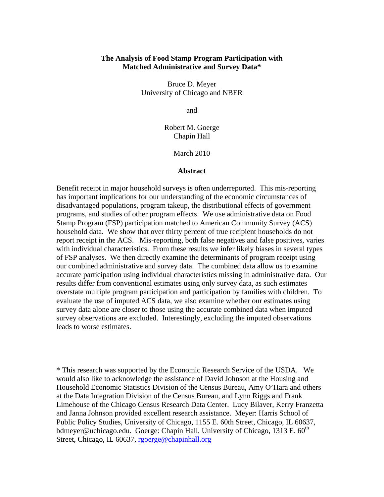## **The Analysis of Food Stamp Program Participation with Matched Administrative and Survey Data\***

Bruce D. Meyer University of Chicago and NBER

and

Robert M. Goerge Chapin Hall

March 2010

## **Abstract**

Benefit receipt in major household surveys is often underreported. This mis-reporting has important implications for our understanding of the economic circumstances of disadvantaged populations, program takeup, the distributional effects of government programs, and studies of other program effects. We use administrative data on Food Stamp Program (FSP) participation matched to American Community Survey (ACS) household data. We show that over thirty percent of true recipient households do not report receipt in the ACS. Mis-reporting, both false negatives and false positives, varies with individual characteristics. From these results we infer likely biases in several types of FSP analyses. We then directly examine the determinants of program receipt using our combined administrative and survey data. The combined data allow us to examine accurate participation using individual characteristics missing in administrative data. Our results differ from conventional estimates using only survey data, as such estimates overstate multiple program participation and participation by families with children. To evaluate the use of imputed ACS data, we also examine whether our estimates using survey data alone are closer to those using the accurate combined data when imputed survey observations are excluded. Interestingly, excluding the imputed observations leads to worse estimates.

\* This research was supported by the Economic Research Service of the USDA. We would also like to acknowledge the assistance of David Johnson at the Housing and Household Economic Statistics Division of the Census Bureau, Amy O'Hara and others at the Data Integration Division of the Census Bureau, and Lynn Riggs and Frank Limehouse of the Chicago Census Research Data Center. Lucy Bilaver, Kerry Franzetta and Janna Johnson provided excellent research assistance. Meyer: Harris School of Public Policy Studies, University of Chicago, 1155 E. 60th Street, Chicago, IL 60637, bdmeyer@uchicago.edu. Goerge: Chapin Hall, University of Chicago, 1313 E.  $60<sup>th</sup>$ Street, Chicago, IL 60637, rgoerge@chapinhall.org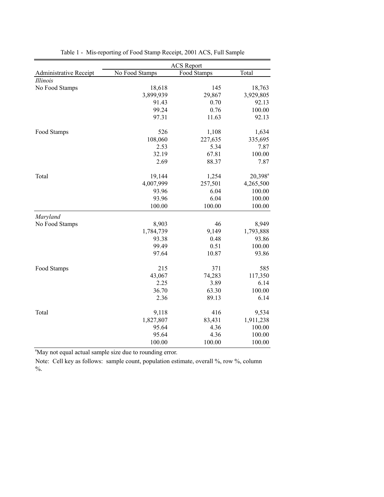|                        | <b>ACS</b> Report |             |                     |  |  |
|------------------------|-------------------|-------------|---------------------|--|--|
| Administrative Receipt | No Food Stamps    | Food Stamps | Total               |  |  |
| Illinois               |                   |             |                     |  |  |
| No Food Stamps         | 18,618            | 145         | 18,763              |  |  |
|                        | 3,899,939         | 29,867      | 3,929,805           |  |  |
|                        | 91.43             | 0.70        | 92.13               |  |  |
|                        | 99.24             | 0.76        | 100.00              |  |  |
|                        | 97.31             | 11.63       | 92.13               |  |  |
|                        |                   |             |                     |  |  |
| Food Stamps            | 526               | 1,108       | 1,634               |  |  |
|                        | 108,060           | 227,635     | 335,695             |  |  |
|                        | 2.53              | 5.34        | 7.87                |  |  |
|                        | 32.19             | 67.81       | 100.00              |  |  |
|                        | 2.69              | 88.37       | 7.87                |  |  |
| Total                  | 19,144            | 1,254       | 20,398 <sup>a</sup> |  |  |
|                        | 4,007,999         | 257,501     | 4,265,500           |  |  |
|                        | 93.96             | 6.04        | 100.00              |  |  |
|                        | 93.96             | 6.04        | 100.00              |  |  |
|                        | 100.00            | 100.00      | 100.00              |  |  |
| Maryland               |                   |             |                     |  |  |
| No Food Stamps         | 8,903             | 46          | 8,949               |  |  |
|                        | 1,784,739         | 9,149       | 1,793,888           |  |  |
|                        | 93.38             | 0.48        | 93.86               |  |  |
|                        | 99.49             | 0.51        | 100.00              |  |  |
|                        | 97.64             | 10.87       | 93.86               |  |  |
| Food Stamps            | 215               | 371         | 585                 |  |  |
|                        | 43,067            | 74,283      | 117,350             |  |  |
|                        | 2.25              | 3.89        | 6.14                |  |  |
|                        | 36.70             | 63.30       | 100.00              |  |  |
|                        | 2.36              | 89.13       | 6.14                |  |  |
|                        |                   |             |                     |  |  |
| Total                  | 9,118             | 416         | 9,534               |  |  |
|                        | 1,827,807         | 83,431      | 1,911,238           |  |  |
|                        | 95.64             | 4.36        | 100.00              |  |  |
|                        | 95.64             | 4.36        | 100.00              |  |  |
|                        | 100.00            | 100.00      | 100.00              |  |  |

Table 1 - Mis-reporting of Food Stamp Receipt, 2001 ACS, Full Sample

<sup>a</sup>May not equal actual sample size due to rounding error.

Note: Cell key as follows: sample count, population estimate, overall %, row %, column  $\% .$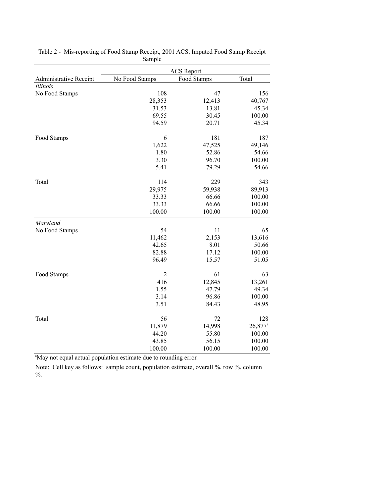|                        |                | <b>ACS</b> Report |                       |
|------------------------|----------------|-------------------|-----------------------|
| Administrative Receipt | No Food Stamps | Food Stamps       | Total                 |
| Illinois               |                |                   |                       |
| No Food Stamps         | 108            | 47                | 156                   |
|                        | 28,353         | 12,413            | 40,767                |
|                        | 31.53          | 13.81             | 45.34                 |
|                        | 69.55          | 30.45             | 100.00                |
|                        | 94.59          | 20.71             | 45.34                 |
| Food Stamps            | 6              | 181               | 187                   |
|                        | 1,622          | 47,525            | 49,146                |
|                        | 1.80           | 52.86             | 54.66                 |
|                        | 3.30           | 96.70             | 100.00                |
|                        | 5.41           | 79.29             | 54.66                 |
| Total                  | 114            | 229               | 343                   |
|                        | 29,975         | 59,938            | 89,913                |
|                        | 33.33          | 66.66             | 100.00                |
|                        | 33.33          | 66.66             | 100.00                |
|                        | 100.00         | 100.00            | 100.00                |
| Maryland               |                |                   |                       |
| No Food Stamps         | 54             | 11                | 65                    |
|                        | 11,462         | 2,153             | 13,616                |
|                        | 42.65          | 8.01              | 50.66                 |
|                        | 82.88          | 17.12             | 100.00                |
|                        | 96.49          | 15.57             | 51.05                 |
| Food Stamps            | $\overline{c}$ | 61                | 63                    |
|                        | 416            | 12,845            | 13,261                |
|                        | 1.55           | 47.79             | 49.34                 |
|                        | 3.14           | 96.86             | 100.00                |
|                        | 3.51           | 84.43             | 48.95                 |
| Total                  | 56             | 72                | 128                   |
|                        | 11,879         | 14,998            | $26,877$ <sup>a</sup> |
|                        | 44.20          | 55.80             | 100.00                |
|                        | 43.85          | 56.15             | 100.00                |
|                        | 100.00         | 100.00            | 100.00                |

Table 2 - Mis-reporting of Food Stamp Receipt, 2001 ACS, Imputed Food Stamp Receipt Sample

<sup>a</sup>May not equal actual population estimate due to rounding error.

Note: Cell key as follows: sample count, population estimate, overall %, row %, column  $\frac{0}{6}$ .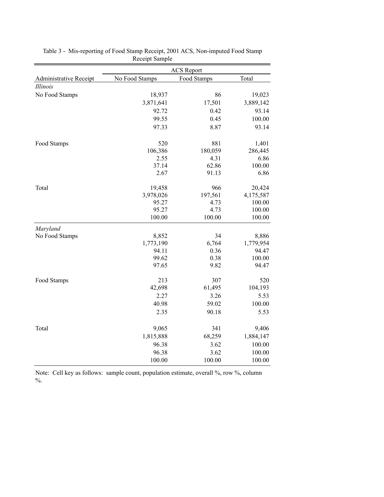|                        |                | <b>ACS</b> Report |           |
|------------------------|----------------|-------------------|-----------|
| Administrative Receipt | No Food Stamps | Food Stamps       | Total     |
| Illinois               |                |                   |           |
| No Food Stamps         | 18,937         | 86                | 19,023    |
|                        | 3,871,641      | 17,501            | 3,889,142 |
|                        | 92.72          | 0.42              | 93.14     |
|                        | 99.55          | 0.45              | 100.00    |
|                        | 97.33          | 8.87              | 93.14     |
| Food Stamps            | 520            | 881               | 1,401     |
|                        | 106,386        | 180,059           | 286,445   |
|                        | 2.55           | 4.31              | 6.86      |
|                        | 37.14          | 62.86             | 100.00    |
|                        | 2.67           | 91.13             | 6.86      |
| Total                  | 19,458         | 966               | 20,424    |
|                        | 3,978,026      | 197,561           | 4,175,587 |
|                        | 95.27          | 4.73              | 100.00    |
|                        | 95.27          | 4.73              | 100.00    |
|                        | 100.00         | 100.00            | 100.00    |
| Maryland               |                |                   |           |
| No Food Stamps         | 8,852          | 34                | 8,886     |
|                        | 1,773,190      | 6,764             | 1,779,954 |
|                        | 94.11          | 0.36              | 94.47     |
|                        | 99.62          | 0.38              | 100.00    |
|                        | 97.65          | 9.82              | 94.47     |
| Food Stamps            | 213            | 307               | 520       |
|                        | 42,698         | 61,495            | 104,193   |
|                        | 2.27           | 3.26              | 5.53      |
|                        | 40.98          | 59.02             | 100.00    |
|                        | 2.35           | 90.18             | 5.53      |
| Total                  | 9,065          | 341               | 9,406     |
|                        | 1,815,888      | 68,259            | 1,884,147 |
|                        | 96.38          | 3.62              | 100.00    |
|                        | 96.38          | 3.62              | 100.00    |
|                        | 100.00         | 100.00            | 100.00    |

Table 3 - Mis-reporting of Food Stamp Receipt, 2001 ACS, Non-imputed Food Stamp Receipt Sample

Note: Cell key as follows: sample count, population estimate, overall %, row %, column  $\frac{0}{6}$ .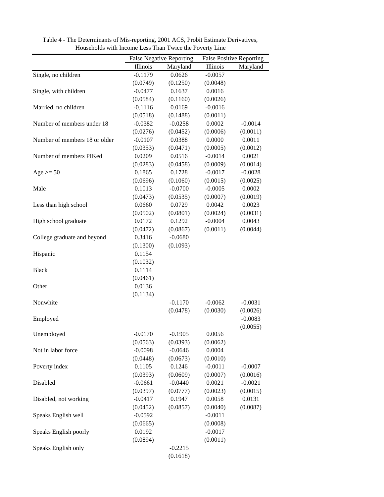|                               |           | <b>False Negative Reporting</b> |           | <b>False Positive Reporting</b> |
|-------------------------------|-----------|---------------------------------|-----------|---------------------------------|
|                               | Illinois  | Maryland                        | Illinois  | Maryland                        |
| Single, no children           | $-0.1179$ | 0.0626                          | $-0.0057$ |                                 |
|                               | (0.0749)  | (0.1250)                        | (0.0048)  |                                 |
| Single, with children         | $-0.0477$ | 0.1637                          | 0.0016    |                                 |
|                               | (0.0584)  | (0.1160)                        | (0.0026)  |                                 |
| Married, no children          | $-0.1116$ | 0.0169                          | $-0.0016$ |                                 |
|                               | (0.0518)  | (0.1488)                        | (0.0011)  |                                 |
| Number of members under 18    | $-0.0382$ | $-0.0258$                       | 0.0002    | $-0.0014$                       |
|                               | (0.0276)  | (0.0452)                        | (0.0006)  | (0.0011)                        |
| Number of members 18 or older | $-0.0107$ | 0.0388                          | 0.0000    | 0.0011                          |
|                               | (0.0353)  | (0.0471)                        | (0.0005)  | (0.0012)                        |
| Number of members PIKed       | 0.0209    | 0.0516                          | $-0.0014$ | 0.0021                          |
|                               | (0.0283)  | (0.0458)                        | (0.0009)  | (0.0014)                        |
| Age $>=$ 50                   | 0.1865    | 0.1728                          | $-0.0017$ | $-0.0028$                       |
|                               | (0.0696)  | (0.1060)                        | (0.0015)  | (0.0025)                        |
| Male                          | 0.1013    | $-0.0700$                       | $-0.0005$ | 0.0002                          |
|                               | (0.0473)  | (0.0535)                        | (0.0007)  | (0.0019)                        |
| Less than high school         | 0.0660    | 0.0729                          | 0.0042    | 0.0023                          |
|                               | (0.0502)  | (0.0801)                        | (0.0024)  | (0.0031)                        |
| High school graduate          | 0.0172    | 0.1292                          | $-0.0004$ | 0.0043                          |
|                               | (0.0472)  | (0.0867)                        | (0.0011)  | (0.0044)                        |
| College graduate and beyond   | 0.3416    | $-0.0680$                       |           |                                 |
|                               | (0.1300)  | (0.1093)                        |           |                                 |
| Hispanic                      | 0.1154    |                                 |           |                                 |
|                               | (0.1032)  |                                 |           |                                 |
| <b>Black</b>                  | 0.1114    |                                 |           |                                 |
|                               | (0.0461)  |                                 |           |                                 |
| Other                         | 0.0136    |                                 |           |                                 |
|                               | (0.1134)  |                                 |           |                                 |
| Nonwhite                      |           | $-0.1170$                       | $-0.0062$ | $-0.0031$                       |
|                               |           | (0.0478)                        | (0.0030)  | (0.0026)                        |
|                               |           |                                 |           | $-0.0083$                       |
| Employed                      |           |                                 |           |                                 |
| Unemployed                    | $-0.0170$ | $-0.1905$                       | 0.0056    | (0.0055)                        |
|                               | (0.0563)  | (0.0393)                        | (0.0062)  |                                 |
| Not in labor force            | $-0.0098$ | $-0.0646$                       | 0.0004    |                                 |
|                               | (0.0448)  | (0.0673)                        | (0.0010)  |                                 |
| Poverty index                 | 0.1105    | 0.1246                          | $-0.0011$ | $-0.0007$                       |
|                               | (0.0393)  | (0.0609)                        | (0.0007)  | (0.0016)                        |
| Disabled                      | $-0.0661$ | $-0.0440$                       | 0.0021    | $-0.0021$                       |
|                               | (0.0397)  | (0.0777)                        | (0.0023)  | (0.0015)                        |
| Disabled, not working         | $-0.0417$ | 0.1947                          | 0.0058    | 0.0131                          |
|                               | (0.0452)  | (0.0857)                        | (0.0040)  | (0.0087)                        |
| Speaks English well           | $-0.0592$ |                                 | $-0.0011$ |                                 |
|                               |           |                                 |           |                                 |
|                               | (0.0665)  |                                 | (0.0008)  |                                 |
| Speaks English poorly         | 0.0192    |                                 | $-0.0017$ |                                 |
|                               | (0.0894)  |                                 | (0.0011)  |                                 |
| Speaks English only           |           | $-0.2215$                       |           |                                 |
|                               |           | (0.1618)                        |           |                                 |

Table 4 - The Determinants of Mis-reporting, 2001 ACS, Probit Estimate Derivatives, Households with Income Less Than Twice the Poverty Line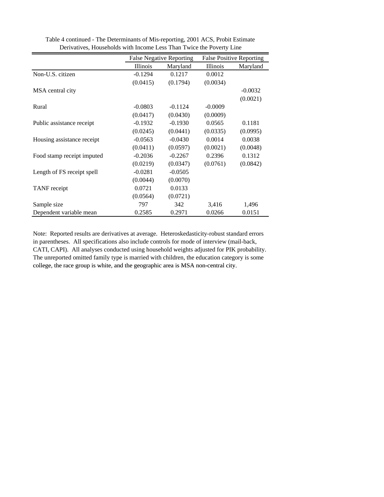|                            | <b>False Negative Reporting</b> |           | <b>False Positive Reporting</b> |           |  |
|----------------------------|---------------------------------|-----------|---------------------------------|-----------|--|
|                            | Illinois                        | Maryland  | <b>Illinois</b>                 | Maryland  |  |
| Non-U.S. citizen           | $-0.1294$                       | 0.1217    | 0.0012                          |           |  |
|                            | (0.0415)                        | (0.1794)  | (0.0034)                        |           |  |
| MSA central city           |                                 |           |                                 | $-0.0032$ |  |
|                            |                                 |           |                                 | (0.0021)  |  |
| Rural                      | $-0.0803$                       | $-0.1124$ | $-0.0009$                       |           |  |
|                            | (0.0417)                        | (0.0430)  | (0.0009)                        |           |  |
| Public assistance receipt  | $-0.1932$                       | $-0.1930$ | 0.0565                          | 0.1181    |  |
|                            | (0.0245)                        | (0.0441)  | (0.0335)                        | (0.0995)  |  |
| Housing assistance receipt | $-0.0563$                       | $-0.0430$ | 0.0014                          | 0.0038    |  |
|                            | (0.0411)                        | (0.0597)  | (0.0021)                        | (0.0048)  |  |
| Food stamp receipt imputed | $-0.2036$                       | $-0.2267$ | 0.2396                          | 0.1312    |  |
|                            | (0.0219)                        | (0.0347)  | (0.0761)                        | (0.0842)  |  |
| Length of FS receipt spell | $-0.0281$                       | $-0.0505$ |                                 |           |  |
|                            | (0.0044)                        | (0.0070)  |                                 |           |  |
| TANF receipt               | 0.0721                          | 0.0133    |                                 |           |  |
|                            | (0.0564)                        | (0.0721)  |                                 |           |  |
| Sample size                | 797                             | 342       | 3,416                           | 1,496     |  |
| Dependent variable mean    | 0.2585                          | 0.2971    | 0.0266                          | 0.0151    |  |

Table 4 continued - The Determinants of Mis-reporting, 2001 ACS, Probit Estimate Derivatives, Households with Income Less Than Twice the Poverty Line

Note: Reported results are derivatives at average. Heteroskedasticity-robust standard errors in parentheses. All specifications also include controls for mode of interview (mail-back, CATI, CAPI). All analyses conducted using household weights adjusted for PIK probability. The unreported omitted family type is married with children, the education category is some college, the race group is white, and the geographic area is MSA non-central city.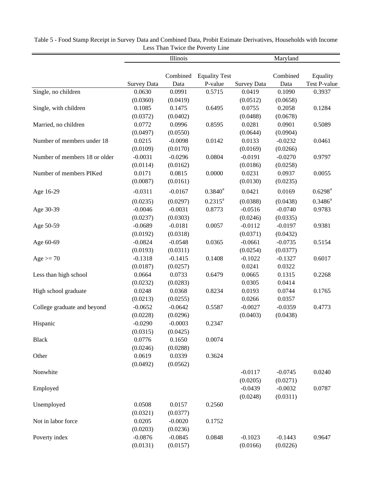|                               |                    | Illinois           |                      |                    | Maryland           |                     |
|-------------------------------|--------------------|--------------------|----------------------|--------------------|--------------------|---------------------|
|                               |                    |                    |                      |                    |                    |                     |
|                               |                    | Combined           | <b>Equality Test</b> |                    | Combined           | Equality            |
|                               | <b>Survey Data</b> | Data               | P-value              | <b>Survey Data</b> | Data               | Test P-value        |
| Single, no children           | 0.0630             | 0.0991             | 0.5715               | 0.0419             | 0.1090             | 0.3937              |
|                               | (0.0360)           | (0.0419)           |                      | (0.0512)           | (0.0658)           |                     |
| Single, with children         | 0.1085             | 0.1475             | 0.6495               | 0.0755             | 0.2058             | 0.1284              |
|                               | (0.0372)           | (0.0402)           |                      | (0.0488)           | (0.0678)           |                     |
| Married, no children          | 0.0772             | 0.0996             | 0.8595               | 0.0281             | 0.0901             | 0.5089              |
|                               | (0.0497)           | (0.0550)           |                      | (0.0644)           | (0.0904)           |                     |
| Number of members under 18    | 0.0215             | $-0.0098$          | 0.0142               | 0.0133             | $-0.0232$          | 0.0461              |
|                               | (0.0109)           | (0.0170)           |                      | (0.0169)           | (0.0266)           |                     |
| Number of members 18 or older | $-0.0031$          | $-0.0296$          | 0.0804               | $-0.0191$          | $-0.0270$          | 0.9797              |
| Number of members PIKed       | (0.0114)<br>0.0171 | (0.0162)<br>0.0815 | 0.0000               | (0.0186)<br>0.0231 | (0.0258)<br>0.0937 | 0.0055              |
|                               | (0.0087)           | (0.0161)           |                      | (0.0130)           |                    |                     |
|                               |                    |                    |                      |                    | (0.0235)           |                     |
| Age 16-29                     | $-0.0311$          | $-0.0167$          | $0.3840^a$           | 0.0421             | 0.0169             | $0.6298^{\text{a}}$ |
|                               | (0.0235)           | (0.0297)           | $0.2315^a$           | (0.0388)           | (0.0438)           | $0.3486^a$          |
| Age 30-39                     | $-0.0046$          | $-0.0031$          | 0.8773               | $-0.0516$          | $-0.0740$          | 0.9783              |
|                               | (0.0237)           | (0.0303)           |                      | (0.0246)           | (0.0335)           |                     |
| Age 50-59                     | $-0.0689$          | $-0.0181$          | 0.0057               | $-0.0112$          | $-0.0197$          | 0.9381              |
|                               | (0.0192)           | (0.0318)           |                      | (0.0371)           | (0.0432)           |                     |
| Age 60-69                     | $-0.0824$          | $-0.0548$          | 0.0365               | $-0.0661$          | $-0.0735$          | 0.5154              |
|                               | (0.0193)           | (0.0311)           |                      | (0.0254)           | (0.0377)           |                     |
| $Age = 70$                    | $-0.1318$          | $-0.1415$          | 0.1408               | $-0.1022$          | $-0.1327$          | 0.6017              |
|                               | (0.0187)           | (0.0257)           |                      | 0.0241             | 0.0322             |                     |
| Less than high school         | 0.0664             | 0.0733             | 0.6479               | 0.0665             | 0.1315             | 0.2268              |
|                               | (0.0232)           | (0.0283)           |                      | 0.0305             | 0.0414             |                     |
| High school graduate          | 0.0248             | 0.0368             | 0.8234               | 0.0193             | 0.0744             | 0.1765              |
|                               | (0.0213)           | (0.0255)           |                      | 0.0266             | 0.0357             |                     |
| College graduate and beyond   | $-0.0652$          | $-0.0642$          | 0.5587               | $-0.0027$          | $-0.0359$          | 0.4773              |
|                               | (0.0228)           | (0.0296)           |                      | (0.0403)           | (0.0438)           |                     |
| Hispanic                      | $-0.0290$          | $-0.0003$          | 0.2347               |                    |                    |                     |
|                               | (0.0315)           | (0.0425)           |                      |                    |                    |                     |
| <b>Black</b>                  | 0.0776             | 0.1650             | 0.0074               |                    |                    |                     |
|                               | (0.0246)           | (0.0288)           |                      |                    |                    |                     |
| Other                         | 0.0619             | 0.0339             | 0.3624               |                    |                    |                     |
|                               | (0.0492)           | (0.0562)           |                      |                    |                    |                     |
| Nonwhite                      |                    |                    |                      | $-0.0117$          | $-0.0745$          | 0.0240              |
|                               |                    |                    |                      | (0.0205)           | (0.0271)           |                     |
| Employed                      |                    |                    |                      | $-0.0439$          | $-0.0032$          | 0.0787              |
|                               |                    |                    |                      | (0.0248)           | (0.0311)           |                     |
| Unemployed                    | 0.0508             | 0.0157             | 0.2560               |                    |                    |                     |
|                               | (0.0321)           | (0.0377)           |                      |                    |                    |                     |
| Not in labor force            | 0.0205             | $-0.0020$          | 0.1752               |                    |                    |                     |
|                               | (0.0203)           | (0.0236)           |                      |                    |                    |                     |
| Poverty index                 | $-0.0876$          | $-0.0845$          | 0.0848               | $-0.1023$          | $-0.1443$          | 0.9647              |
|                               | (0.0131)           | (0.0157)           |                      | (0.0166)           | (0.0226)           |                     |

Table 5 - Food Stamp Receipt in Survey Data and Combined Data, Probit Estimate Derivatives, Households with Income Less Than Twice the Poverty Line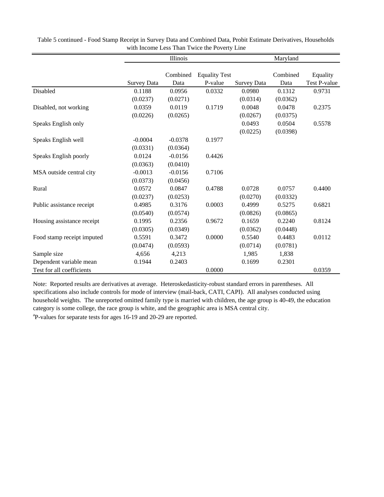|                            |                    | Illinois  |                      |                    | Maryland |              |
|----------------------------|--------------------|-----------|----------------------|--------------------|----------|--------------|
|                            |                    |           |                      |                    |          |              |
|                            |                    | Combined  | <b>Equality Test</b> |                    | Combined | Equality     |
|                            | <b>Survey Data</b> | Data      | P-value              | <b>Survey Data</b> | Data     | Test P-value |
| Disabled                   | 0.1188             | 0.0956    | 0.0332               | 0.0980             | 0.1312   | 0.9731       |
|                            | (0.0237)           | (0.0271)  |                      | (0.0314)           | (0.0362) |              |
| Disabled, not working      | 0.0359             | 0.0119    | 0.1719               | 0.0048             | 0.0478   | 0.2375       |
|                            | (0.0226)           | (0.0265)  |                      | (0.0267)           | (0.0375) |              |
| Speaks English only        |                    |           |                      | 0.0493             | 0.0504   | 0.5578       |
|                            |                    |           |                      | (0.0225)           | (0.0398) |              |
| Speaks English well        | $-0.0004$          | $-0.0378$ | 0.1977               |                    |          |              |
|                            | (0.0331)           | (0.0364)  |                      |                    |          |              |
| Speaks English poorly      | 0.0124             | $-0.0156$ | 0.4426               |                    |          |              |
|                            | (0.0363)           | (0.0410)  |                      |                    |          |              |
| MSA outside central city   | $-0.0013$          | $-0.0156$ | 0.7106               |                    |          |              |
|                            | (0.0373)           | (0.0456)  |                      |                    |          |              |
| Rural                      | 0.0572             | 0.0847    | 0.4788               | 0.0728             | 0.0757   | 0.4400       |
|                            | (0.0237)           | (0.0253)  |                      | (0.0270)           | (0.0332) |              |
| Public assistance receipt  | 0.4985             | 0.3176    | 0.0003               | 0.4999             | 0.5275   | 0.6821       |
|                            | (0.0540)           | (0.0574)  |                      | (0.0826)           | (0.0865) |              |
| Housing assistance receipt | 0.1995             | 0.2356    | 0.9672               | 0.1659             | 0.2240   | 0.8124       |
|                            | (0.0305)           | (0.0349)  |                      | (0.0362)           | (0.0448) |              |
| Food stamp receipt imputed | 0.5591             | 0.3472    | 0.0000               | 0.5540             | 0.4483   | 0.0112       |
|                            | (0.0474)           | (0.0593)  |                      | (0.0714)           | (0.0781) |              |
| Sample size                | 4,656              | 4,213     |                      | 1,985              | 1,838    |              |
| Dependent variable mean    | 0.1944             | 0.2403    |                      | 0.1699             | 0.2301   |              |
| Test for all coefficients  |                    |           | 0.0000               |                    |          | 0.0359       |

Table 5 continued - Food Stamp Receipt in Survey Data and Combined Data, Probit Estimate Derivatives, Households with Income Less Than Twice the Poverty Line

Note: Reported results are derivatives at average. Heteroskedasticity-robust standard errors in parentheses. All specifications also include controls for mode of interview (mail-back, CATI, CAPI). All analyses conducted using household weights. The unreported omitted family type is married with children, the age group is 40-49, the education category is some college, the race group is white, and the geographic area is MSA central city.

P-values for separate tests for ages 16-19 and 20-29 are reported.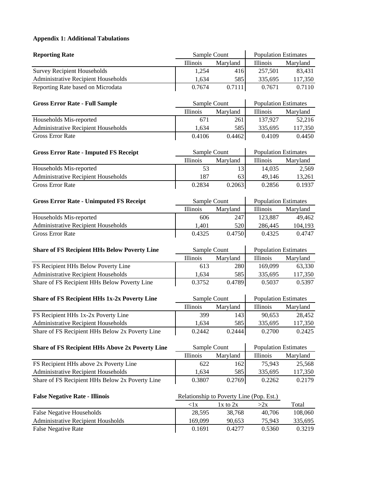## **Appendix 1: Additional Tabulations**

| <b>Reporting Rate</b>                                  | Sample Count |                                          |                             | <b>Population Estimates</b> |  |
|--------------------------------------------------------|--------------|------------------------------------------|-----------------------------|-----------------------------|--|
|                                                        | Illinois     | Maryland                                 | Illinois                    | Maryland                    |  |
| <b>Survey Recipient Households</b>                     | 1,254        | 416                                      | 257,501                     | 83,431                      |  |
| <b>Administrative Recipient Households</b>             | 1,634        | 585                                      | 335,695                     | 117,350                     |  |
| Reporting Rate based on Microdata                      | 0.7674       | 0.7111                                   | 0.7671                      | 0.7110                      |  |
| <b>Gross Error Rate - Full Sample</b>                  | Sample Count |                                          | <b>Population Estimates</b> |                             |  |
|                                                        | Illinois     | Maryland                                 | Illinois                    | Maryland                    |  |
| Households Mis-reported                                | 671          | 261                                      | 137,927                     | 52,216                      |  |
| Administrative Recipient Households                    | 1,634        | 585                                      | 335,695                     | 117,350                     |  |
| <b>Gross Error Rate</b>                                | 0.4106       | 0.4462                                   | 0.4109                      | 0.4450                      |  |
| <b>Gross Error Rate - Imputed FS Receipt</b>           | Sample Count |                                          | <b>Population Estimates</b> |                             |  |
|                                                        | Illinois     | Maryland                                 | Illinois                    | Maryland                    |  |
| Households Mis-reported                                | 53           | 13                                       | 14,035                      | 2,569                       |  |
| <b>Administrative Recipient Households</b>             | 187          | 63                                       | 49,146                      | 13,261                      |  |
| <b>Gross Error Rate</b>                                | 0.2834       | 0.2063                                   | 0.2856                      | 0.1937                      |  |
| <b>Gross Error Rate - Unimputed FS Receipt</b>         | Sample Count |                                          | <b>Population Estimates</b> |                             |  |
|                                                        | Illinois     | Maryland                                 | Illinois                    | Maryland                    |  |
| Households Mis-reported                                | 606          | 247                                      | 123,887                     | 49,462                      |  |
| <b>Administrative Recipient Households</b>             | 1,401        | 520                                      | 286,445                     | 104,193                     |  |
| <b>Gross Error Rate</b>                                | 0.4325       | 0.4750                                   | 0.4325                      | 0.4747                      |  |
| <b>Share of FS Recipient HHs Below Poverty Line</b>    | Sample Count |                                          | <b>Population Estimates</b> |                             |  |
|                                                        | Illinois     | Maryland                                 | Illinois                    | Maryland                    |  |
|                                                        |              |                                          |                             |                             |  |
| FS Recipient HHs Below Poverty Line                    | 613          | 280                                      | 169,099                     | 63,330                      |  |
| <b>Administrative Recipient Households</b>             | 1,634        | 585                                      | 335,695                     | 117,350                     |  |
| Share of FS Recipient HHs Below Poverty Line           | 0.3752       | 0.4789                                   | 0.5037                      | 0.5397                      |  |
| <b>Share of FS Recipient HHs 1x-2x Poverty Line</b>    | Sample Count |                                          | <b>Population Estimates</b> |                             |  |
|                                                        | Illinois     | Maryland                                 | Illinois                    | Maryland                    |  |
| FS Recipient HHs 1x-2x Poverty Line                    | 399          | 143                                      | 90,653                      | 28,452                      |  |
| Administrative Recipient Households                    | 1,634        | 585                                      | 335,695                     | 117,350                     |  |
| Share of FS Recipient HHs Below 2x Poverty Line        | 0.2442       | 0.2444                                   | 0.2700                      | 0.2425                      |  |
| <b>Share of FS Recipient HHs Above 2x Poverty Line</b> | Sample Count |                                          | <b>Population Estimates</b> |                             |  |
|                                                        | Illinois     | Maryland                                 | Illinois                    | Maryland                    |  |
| FS Recipient HHs above 2x Poverty Line                 | 622          | 162                                      | 75,943                      | 25,568                      |  |
| Administrative Recipient Households                    | 1,634        | 585                                      | 335,695                     | 117,350                     |  |
| Share of FS Recipient HHs Below 2x Poverty Line        | 0.3807       | 0.2769                                   | 0.2262                      | 0.2179                      |  |
| <b>False Negative Rate - Illinois</b>                  |              | Relationship to Poverty Line (Pop. Est.) |                             |                             |  |
|                                                        | < 1x         | 1x to 2x                                 | >2x                         | Total                       |  |
| <b>False Negative Households</b>                       | 28,595       | 38,768                                   | 40,706                      | 108,060                     |  |
| Administrative Recipient Housholds                     | 169,099      | 90,653                                   | 75,943                      | 335,695                     |  |